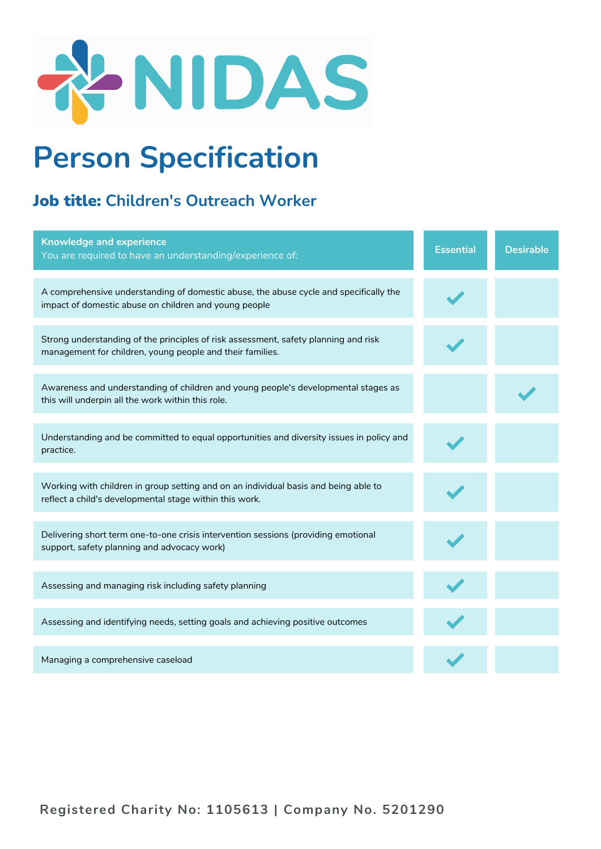

## **Person Specification**

## Job title: **Children's Outreach Worker**

| <b>Knowledge and experience</b><br>You are required to have an understanding/experience of:                                                      | <b>Essential</b> | <b>Desirable</b> |
|--------------------------------------------------------------------------------------------------------------------------------------------------|------------------|------------------|
| A comprehensive understanding of domestic abuse, the abuse cycle and specifically the<br>impact of domestic abuse on children and young people   |                  |                  |
| Strong understanding of the principles of risk assessment, safety planning and risk<br>management for children, young people and their families. |                  |                  |
| Awareness and understanding of children and young people's developmental stages as<br>this will underpin all the work within this role.          |                  |                  |
| Understanding and be committed to equal opportunities and diversity issues in policy and<br>practice.                                            |                  |                  |
| Working with children in group setting and on an individual basis and being able to<br>reflect a child's developmental stage within this work.   |                  |                  |
| Delivering short term one-to-one crisis intervention sessions (providing emotional<br>support, safety planning and advocacy work)                |                  |                  |
| Assessing and managing risk including safety planning                                                                                            |                  |                  |
| Assessing and identifying needs, setting goals and achieving positive outcomes                                                                   |                  |                  |
| Managing a comprehensive caseload                                                                                                                |                  |                  |